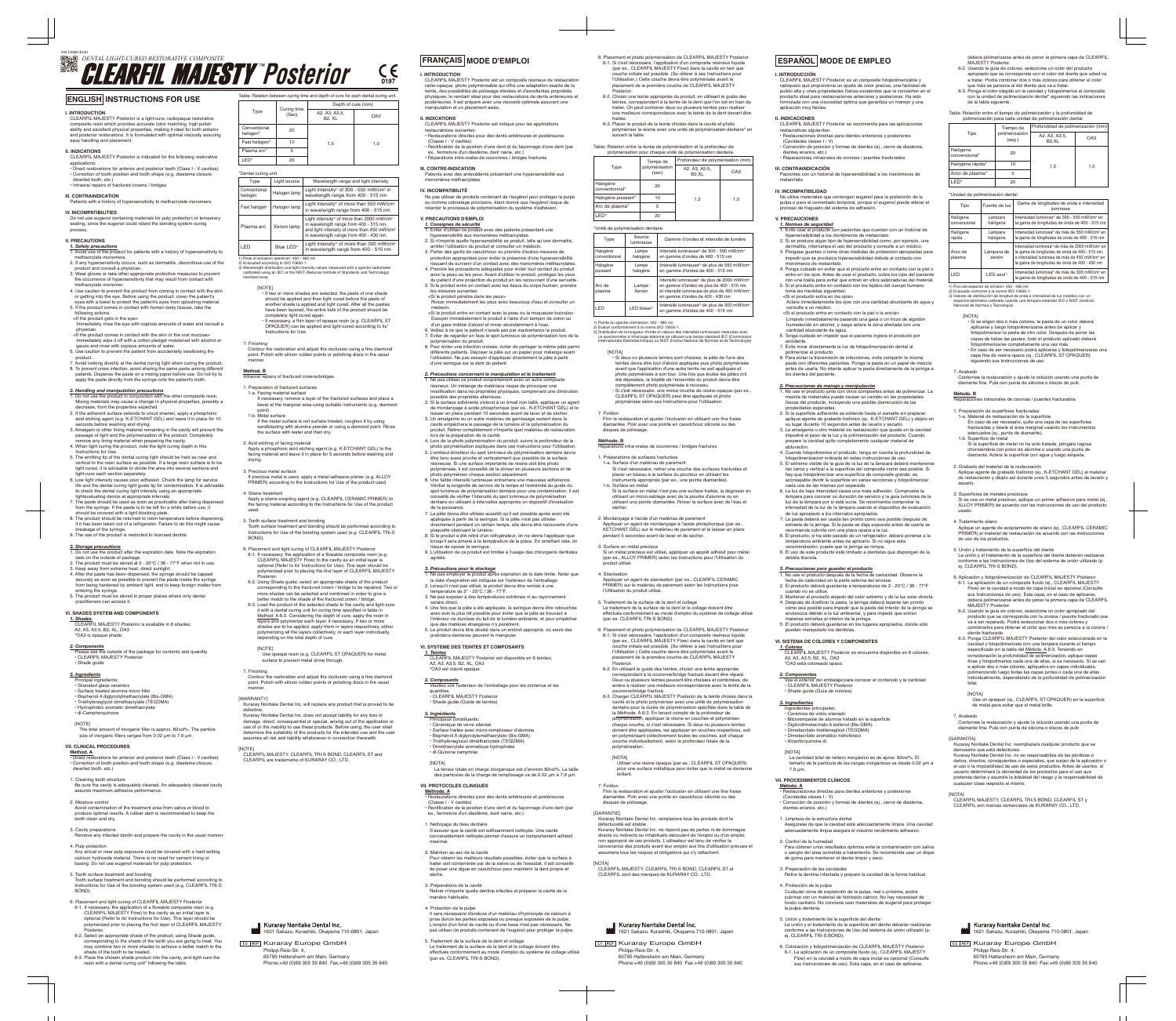#### **Método. B** eparaciones intraorales de coronas / puentes fracturados

CLEARFIL MAJESTY Posterior est un composite résineux de restauration radio-opaque, photo polymérisable qui offre une adaptation exacte de la teinte, des possibilités de polissage élevées et d'excellentes propriét physiques, le rendant idéal pour des restaurations de dents antérieures et postérieures. Il est préparé avec une viscosité optimale assurant une

Principaux constituants; • Céramique de verre silanisé Si c'est nécessaire, retirer une couche des surfaces fracturées et placer un biseau à la surface du pourtour en utilisant les instruments appropriés (par ex., une pointe diamantée

**I. INTRODUCCIÓN** CLEARFIL MAJESTY Posterior es un composite fotopolimerizable y radiopaco que proporciona un ajuste de color preciso, una facilidad de<br>pulido alta y unas propiedades físicas excelentes que la convierten en el<br>producto ideal para restauraciones anteriores y posteriores. Ha sido formulada con una viscosidad óptima que garantiza un manejo y una aplicación muy fáciles.

### **II. INDICACIONES**

- CLEARFIL MAJESTY Posterior se recomienda para las aplicaciones restaurativas siguientes: • Restauraciones directas para dientes anteriores y posteriores (Cavidades clases I - V)
- Corrección de posicion y formas de dientes (ej., cierre de diastema, dientes enanos, etc.) • Reparaciones intraorales de coronas / puentes fracturados
- **III. CONTRAINDICACIÓN** Pacientes con un historial de hipersensibilidad a los monómeros de
	- metacrilato
- **IV. INCOMPATIBILIDAD**
- o utilice materiales que contengan eugenol para la protección de la pulpa o para el cementado temporal, porque el eugenol puede alterar el proceso de fraguado del sistema de adhesión.

## **V. PRECAUCIONES**

- *1. Normas de seguridad* 1. Evite usar el producto con pacientes que cuentan con un historial de hipersensibilidad a los monómeros de metacrilato.
- 2. Si se produce algún tipo de hipersensibilidad como, por ejemplo, una dermatitis, interrumpa el uso del producto y consulte a un médico. 3. Póngase guantes o tome otras medidas de protección apropiadas para
- impedir que se produzca hipersensibilidad debida al contacto con monómeros de metacrilato. 4. Ponga cuidado en evitar que el producto entre en contacto con la piel o
- entre en los ojos. Antes de usar el producto, cubra los ojos del paciente con una toalla para evitar que entren en ellos salpicaduras del material. 5. Si el producto entra en contacto con los tejidos del cuerpo humano<br>tome las medidas siguientes:<br><Si el producto entra en los ojos>
- Aclare inmediatamente los ojos con una cantidad abundante de agua y consulte a un médico. <Si el producto entra en contacto con la piel o la encía>
- Límpielo inmediatamente pasando una gasa o un trozo de algodón humedecido en alcohol, y luego aclare la zona afectada con una cantidad abundante de agua. 6. Tenga cuidado en impedir que el paciente ingiera el producto por
- accidente. 7. Evite mirar directamente la luz de fotopolimerización dental al
- polimerizar el producto. 8. Para evitar la transmisión de infecciones, evite compartir la misma pasta con diferentes pacientes. Ponga la pasta en un papel de mezcla antes de usarla. No intente aplicar la pasta directamente de la jeringa a los dientes del paciente.

- *2. Handling and manipulation precautions* 1. Do not use the product in conjunction with the other composite resin. Mixing materials may cause a change in physical properties, possibly a decrease, from the properties expected.
- 2. If the adherent surface extends to uncut enamel, apply a phosphoric acid etching agent (e.g. K-ETCHANT GEL) and leave it in place for 10
- seconds before washing and drying. 3. Amalgam or other lining material remaining in the cavity will prevent the passage of light and the polymerization of the product. Completely
- remove any lining material when preparing the cavity. 4. When light curing the product, note the light curing depth in this Instructions for Use. 5. The emitting tip of the dental curing light should be held as near and
- vertical to the resin surface as possible. If a large resin surface is to be light cured, it is advisable to divide the area into several sections and
- light-cure each section separately. 6. Low light intensity causes poor adhesion. Check the lamp for service life and the dental curing light guide tip for contamination. It is advisable to check the dental curing light intensity using an appropriate
- lightevaluating device at appropriate intervals. 7. The paste should be used as soon as practicable after being dispensed from the syringe. If the paste is to be left for a while before use, it
- should be covered with a light blocking plate.<br>8. The product should be returned to room temperature before dispensing,<br>if it has been taken out of a refrigerator. Failure to do this might cause
- hreakage of the syringe. 9. The use of the product is restricted to licensed dentist.

- *2. Precauciones de manejo y manipulación* 1. No use el producto junto con otros composites antes de polimerizar. La mezcla de materiales puede causar un cambio en las propiedades físicas del producto, incluyendo una posible disminución de las
- propiedades esperadas. 2. Si la superficie adherente se extiende hasta el esmalte sin preparar, aplique agente de grabado fosfórico (ej., K-ETCHANT GEL) y déjelo en<br>su lugar durante 10 segundos antes de lavarlo y secarlo.<br>3. La amalgama u otro material de restauración que quede en la cavidad
- impedirá el paso de la luz y la polimerización del producto. Cuando prepare la cavidad quite completamente cualquier material de obturación.
- 4. Cuando fotopolimerice el producto, tenga en cuenta la profundidad de fotopolimerización indicada en estas instrucciones de uso. 5. El extremo visible de la guía de la luz de la lámpara deberá mantenerse tan cerca y vertical a la superficie del composite como sea posible. Si hay que fotopolimerizar una superficie de composite grande, es
- aconsejable dividir la superficie en varias secciones y fotopolimerizar cada una de las mismas por separado. 6. La luz de baja intensidad causa una mala adhesión. Compruebe la
- lámpara para conocer su duración de servicio y la guía luminosa de la luz de la lámpara por si está sucia. Se recomienda comprobar la intensidad de la luz de la lámpara usando el dispositivo de evaluación de luz apropiado a los intervalos apropiados. 7. La pasta deberá ser usada tan pronto como sea posible después de
- extraela de la jeringa. Si la pasta se deja expuesta antes de usarla se recomienda cubrirla con una placa opaca a la luz. 8. El producto, si ha sido sacado de un refrigerador, deberá ponerse a la
- temperatura ambiente antes de aplicarlo. Si no sigue esta recomendación, puede que la jeringa se rompa. 9. El uso de este producto está limitado a dentistas que dispongan de la

[NOTE] The total amount of inorganic filler is approx. 82vol%. The particle size of inorganic fillers ranges from 0.02 um to 7.9 um.

- **Method. A** • Direct restorations for anterior and posterior teeth (Class I - V cavities) • Correction of tooth position and tooth shape (e.g. diastema closure, dwarfed tooth, etc.)
- 1. Cleaning tooth structure
- Be sure the cavity is adequately cleaned. An adequately cleaned cavity are are carrily to an equately creative

debida licencia.

- nove any infected dentin and prepare the cavity in the usual manner. 4. Pulp protection Any actual or near pulp exposure could be covered with a hard setting calcium hydroxide material. There is no need for cement lining or
- basing. Do not use eugenol materials for pulp protection. 5. Tooth surface treatment and bonding
- Tooth surface treatment and bonding should be performed according to Instructions for Use of the bonding system used (e.g. CLEARFIL TRI-S BOND).
- 6. Placement and light curing of CLEARFIL MAJESTY Posterior 6-1. If necessary, the application of a flowable composite resin (e.g. CLEARFIL MAJESTY Flow) to the cavity as an initial layer is optional (Refer to its' Instructions for Use). This layer should be polymerized prior to placing the first layer of CLEARFIL MAJESTY
- Posterior. 6-2. Select an appropriate shade of the product, using Shade guide, corresponding to the shade of the tooth you are going to treat. You may combine two or more shades to achieve a better match to the shade of the tooth to be treated.
- 6-3. Place the chosen shade product into the cavity, and light-cure the resin with a dental curing unit\* following the table.
- *3. Precauciones para guardar el producto* 1. No use el producto después de la fecha de caducidad. Observe la fecha de caducidad en la parte externa del envase.
- 2. El producto deberá guardarse a temperaturas de 2 25°C / 36 77°F cuando no se utilice. 3. Mantener el producto alejado del calor extremo y de la luz solar directa.
- 4. Después de dosificar la pasta, la jeringa deberá taparse tan pronto como sea posible para impedir que la pasta del interior de la jeringa se endurezca debido a la luz ambiental, y para impedir que entren
- materias extrañas al interior de la jeringa. 5. El producto deberá guardarse en los lugares apropiados, donde sólo puedan manipularlo los dentistas.

#### **VI. SISTEMA DE COLORES Y COMPONENTES**

*1. Colores* CLEARFIL MAJESTY Posterior se encuentra disponible en 6 colores; A2, A3, A3.5, B2, XL, OA3 \*OA3 está coloreado opaco.

*2. Componentes* Vea el exterior del embalaje para conocer el contenido y la cantidad. • CLEARFIL MAJESTY Posterior • Shade guide (Guía de colores)

#### *3. Ingredientes*

- Ingredientes principales; Cerámica de vidrio silanado • Microempaste de alúmina tratado en la superficie • Diglicidilmetacrilato A bisfenol (Bis-GMA)
- Dimetacrilato trietileneglicol (TEGDMA) • Dimetacrilato aromático hidrofóbico • Alcanforquinona dl

#### [NOTA]

La cantidad total de relleno inorgánico es de aprox. 82vol%. El tamaño de la partícula de las cargas inorgánicas va desde 0,02 μm a 7.9 μm.

#### **VII. PROCEDIMIENTOS CLÍNICOS**

#### [NOTE] Use opaque resin (e.g. CLEARFIL ST OPAQUER) for metal surface to prevent metal shine through

Contour the restoration and adjust the occlusion using a fine diamond point. Polish with silicon rubber points or polishing discs in the usual manner

**IWARRANTYI** Kuraray Noritake Dental Inc. will replace any product

## determine the suitability of the products for the intended use and the user assumes all risk and liability whatsoever in connection therewith.

# *DENTAL LIGHT-CURED RESTORATIVE COMPOSITE* 003 C2580-EU01 **CLEARFIL MAJESTY Posterior**

- **Método. A** Restauraciones directas para dientes anteriores y posteriores (Cavidades clases I - V)
- Corrección de posición y formas de dientes (ej., cierre de diastema, dientes enanos, etc.)
- 1. Limpieza de la estructura dental Asegúrese de que la cavidad esté adecuadamente limpia. Una cavidad adecuadamente limpia asegura el máximo rendimiento adhesivo.
- 2. Control de la humedad
- Para obtener unos resultados óptimos evite la contaminación con saliva o sangre del área sometida a tratamiento. Se recomienda usar un dique de goma para mantener el diente limpio y seco.
- 3. Preparación de las cavidades Retire la dentina infectada y prepare la cavidad de la forma habitual.
- 4. Protección de la pulpa Cualquier zona de exposición de la pulpa, real o próxima, podrá cubrirse con un material de hidróxido cálcico. No hay necesidad de fondo cavitario. No conviene usar materiales de eugenol para proteger la pulpa dentaria.
- 5. Unión y tratamiento de la superficie del diente La unión y el tratamiento de la superficie del diente deberán realizarse conforme a las Instrucciones de Uso del sistema de unión utilizado (p. ej. CLEARFIL TRI-S BOND).
- 6. Colocación y fotopolimerización de CLEARFIL MAJESTY Posterior 6-1. La aplicación de un composite fluído (ej., CLEARFIL MAJESTY Flow) en la cavidad a modo de capa inicial es opcional (Consulte sus Instrucciones de uso). Esta capa, en el caso de aplicarse,

deberá polimerizarse antes de poner la primera capa de CLEARFIL MAJESTY Posterior. 6-2. Usando la guía de colores, seleccione un color del producto

- apropiado que se corresponda con el color del diente que usted va a tratar. Podrá combinar dos o más colores para obtener el color que más se parezca al del diente que va a tratar.
- 6-3. Ponga el color elegido en la cavidad y fotopolimerice el composite con la unidad de polimerización dental\* siguiendo las indicaciones de la tabla siguiente.

#### Tabla: Relación entre el tiempo de polimerización y la profundidad de polimerización para cada unidad de polimerización dental.

### \*Unidad de polimerización dental

1) Pico del espectro de emisión: 450 - 480 nm

2) Evaluada conforme a la norma ISO 10650-1.<br>3) Valores de distribución de longitud de onda e intensidad de luz medidos con un<br>espectroradiómetro calibrado usando una lámpara estándar IEC o NIST (Instituto<br>Nacional de Norm

- 
- [NOTA] Si se eligen dos o más colores, la pasta de un color deberá aplicarse y luego fotopolimerizarse antes de aplicar y fotopolimerizar la pasta de otro color. Después de poner las
- capas de todas las pastas, todo el producto aplicado deberá
- fotopolimerizarse completamente una vez más. En caso de ser necesario podrá aplicarse y fotopolimerizarse una capa fina de resina opaca (ej., CLEARFIL ST OPAQUER) siguiendo sus Instrucciones de uso.

7. Acabado

Contornee la restauración y ajuste la oclusión usando una punta de diamante fina. Pula con punta de silicona o discos de pulir.

- 1. Preparación de superficies fracturadas 1-a. Material de restauración de la superficie
- En caso de ser necesario, quite una capa de las superficies fracturadas y bisele el área marginal usando los instrumentos adecuados (ej., punta de diamante). 1-b. Superficie de metal Si la superficie de metal no ha sido tratada, póngala rugosa

chorreándola con polvo de alúmina o usando una punta de diamante. Aclare la superficie con agua y luego séquela.

2. Grabado del material de la restauración Aplique agente de grabado fosfórico (ej., K-ETCHANT GEL) al material de restauración y déjelo así durante unos 5 segundos antes de lavarlo y

secarlo.

3. Superficies de metales preciosos

Si se usa un metal precioso, aplique un primer adhesivo para metal (ej., ALLOY PRIMER) de acuerdo con las instrucciones de uso del producto

usado.

4. Tratamiento silano

Aplique un agente de acoplamiento de silano (ej., CLEARFIL CERAMIC PRIMER) al material de restauración de acuerdo con las instrucciones

de uso de los productos.

MAJESTY Posterior.

5. Unión y tratamiento de la superficie del diente

La unión y el tratamiento de la superficie del diente deberán realizarse conforme a las Instrucciones de Uso del sistema de unión utilizado (p. ej. CLEARFIL TRI-S BOND).

6. Aplicación y fotopolimerización de CLEARFIL MAJESTY Posterior 6-1. La aplicación de un composite fluído (ej., CLEARFIL MAJESTY Flow) en la cavidad a modo de capa inicial es opcional (Consulte sus Instrucciones de uso). Esta capa, en el caso de aplicarse, deberá polimerizarse antes de poner la primera capa de CLEARFIL

6-2. Usando la guía de colores, seleccione un color apropiado del producto que se corresponda con la corona / puente fracturado que va a ser reparado. Podrá seleccionar dos o más colores y combinarlos para obtener el color que más se parezca a la corona / diente fracturado. 6-3. Ponga CLEARFIL MAJESTY Posterior del color seleccionado en la cavidad y fotopolimerícelo con una lámpara durante el tiempo especificado en la tabla del <u>Método. A</u> 6-3. Teniendo en<br>consideración la profundidad de polimerización, aplique capas finas y fotopolimerice cada una de ellas, si es necesario. Si se van más y experimente entre en el entre, el estabelmente.<br>La aplicar dos o más colores, aplíquelos en capas individual polimerizando luego todas las capas juntas o cada una de ellas individualmente, dependiendo de la profundidad de polimerización

total. [NOTA]

Use un opaquer (ej., CLEARFIL ST OPAQUER) en la superficie

de metal para evitar que el metal brille.

7. Acabado

**[GARANTÍA]** 

Contornee la restauración y ajuste la oclusión usando una punta de diamante fina. Pula con punta de silicona o discos de pulir.

Kuraray Noritake Dental Inc. reemplazará cualquier producto que se

demuestre que está defectuoso.

Kuraray Noritake Dental Inc. no se responsabiliza de las pérdidas o daños, directos, consiguientes o especiales, que surjan de la aplicación o el uso o la imposibilidad de uso de estos productos. Antes de usarlos, el usuario determinará la idoneidad de los productos para el uso que pretenda darlos y asumirá la totalidad del riesgo y la responsabilidad de

cualquier clase respecto al mismo.

[NOTA] CLEARFIL MAJESTY, CLEARFIL TRI-S BOND, CLEARFIL ST y CLEARFIL son marcas comerciales de KURARAY CO., LTD.

**I. INTRODUCTION**

 $C \in$ 

manipulation et un placement aisés.

**II. INDICATIONS**

CLEARFIL MAJESTY Posterior est indiqué pour les applications

### restauratrices suivantes:

• Restaurations directes pour des dents antérieures et postérieures (Classe I - V cavités) • Rectification de la position d'une dent et du façonnage d'une dent (par

- ex., fermeture d'un diastème, dent naine, etc.) Réparations intra-orales de couronnes / bridges fracturés
- **III. CONTRE-INDICATION** Patients avec des antecédents présentant une hypersensibilité aux onomères méthacrylates
- **IV. INCOMPATIBILITÉ**
- Ne pas utiliser de produits contenant de l'eugénol pour protéger la pulpe ou comme colmatage provisoire, étant donné que l'eugénol risque de retarder le processus de polymérisation du système d'adhésion.

## **V. PRECAUTIONS D'EMPLOI**

- *1. Consignes de sécurité* 1. Eviter d'utiliser ce produit avec des patients présentant une hypersensibilité aux monomères méthacrylates.
- 2. Si n'importe quelle hypersensibilité se produit, telle qu'une dermatite, arrêter l'utilisation du produit et consulter un médecin. 3. Porter des gants de caoutchouc ou prendre d'autres mesures de
- n appropriées pour éviter la présence d'une hypersensibilité risquant de survenir d'un contact avec des monomères méthacrylates. 4. Prendre les précautions adéquates pour éviter tout contact du produit
- avec la peau ou les yeux. Avant d'utiliser le produit, protégez les yeux du patient d'une projection du produit en les recouvrant d'une serviette 5. Si le produit entre en contact avec les tissus du corps humain, prendre
- les mesures suivantes: <Si le produit pénètre dans les yeux>
- Rincer immédiatement les yeux avec beaucoup d'eau et consulter un médecin. <Si le produit entre en contact avec la peau ou la muqueuse buccale>
- Essuyer immédiatement le produit à l'aide d'un tampon de coton ou d'un gaze imbibé d'alcool et rincer abondamment à l'eau. 6. Veillez à ce que le patient n'avale pas par inadvertance le produit. 7. Eviter de regarder en face le spot lumineux de polymérisation lors de la

polymérisation du produit.

8. Pour éviter une infection croisée, éviter de partager la même pâte parmi différents patients. Déposer la pâte sur un papier pour mélange avant l'utilisation. Ne pas essayer d'appliquer directement la pâte à partir d'une seringue sur la dent du patient.

*2. Précautions concernant la manipulation et le traitement* 1. Ne pas utiliser ce produit conjointement avec un autre composite résineux. Un mélange de matériaux risque de provoquer une

modification dans les propriétés physiques, comprenant une diminution possible des propriétés attendues. 2. Si la surface adhérente s'étend à un émail non taillé, appliquer un agent de mordançage à acide phosphorique (par ex., K-ETCHANT GEL) et le laisser en place pendant 10 secondes avant de laver et de sécher. 3. Un amalgame ou un autre matériau de garnissage restant dans la cavité empêchera le passage de la lumière et la polymérisation du produit. Retirer complètement n'importe quel matériau de restauration

lors de la préparation de la cavité. 4. Lors de la photo polymérisation du produit, suivre la profondeur de la photo polymérisation expliquée dans ces Instructions pour l'Utilisation. 5. L'embout émetteur du spot lumineux de polymérisation dentaire devra être tenu aussi proche et verticalement que possible de la surface résineuse. Si une surface importante de résine doit être photo polymérisée, il est conseillé de la diviser en plusieurs sections et de photo polymériser chaque section séparément. 6. Une faible intensité lumineuse entraînera une mauvaise adhérence. Vérifier la longévité de service de la lampe et l'extrémité du guide du spot lumineux de polymérisation dentaire pour une contamination. Il est conseillé de vérifier l'intensité du spot lumineux de polymérisation dentaire en utilisant à intervalles appropriés un dispositif d'évaluation

de la puissance.

7. La pâte devra être utilisée aussitôt qu'il est possible après avoir été appliquée à partir de la seringue. Si la pâte n'est pas utilisée directement pendant un certain temps, elle devra être recouverte d'une plaquette obstruant la lumière. 8. Si le produit a été retiré d'un réfrigérateur, on ne devra l'appliquer que lorsqu'il sera amené à la température de la pièce. En omettant cela, on risque de casser la seringue. 9. L'utilisation de ce produit est limitée à l'usage des chirurgiens dentistes

agréés.

*3. Précautions pour le stockage* 1. Ne pas employer le produit après expiration de la date limite. Noter que la date d'expiration est indiquée sur l'extérieur de l'emballage.

2. Lorsqu'il n'est pas utilisé, le produit devra être remisé à une

température de 2° - 25°C / 36 - 77°F.

3. Ne pas exposer à des températures extrêmes ni au rayonnement

solaire direct.

4. Une fois que la pâte a été appliquée, la seringue devra être rebouchée avec soin le plus tôt possible pour éviter que la pâte se trouvant à l'intérieur ne durcisse du fait de la lumière ambiante, et pour empêcher

que des matières étrangères n'y pénètrent.

5. Le produit devra être stocké dans un endroit approprié, où seuls des

praticiens dentaires peuvent le manipuler. **VI. SYSTEME DES TEINTES ET COMPOSANTS**

*1. Teintes* CLEARFIL MAJESTY Posterior est disponible en 6 teintes;

A2, A3, A3.5, B2, XL, OA3 \*OA3 est coloré opaque.

*2. Composants* Veuillez voir l'exterieur de l'emballage pour les contenus et les

quantites. • CLEARFIL MAJESTY Posterior • Shade guide (Guide de teintes)

*3. Ingrédients*

• Surface traitée avec micro-remplisseur d'alumine • Bisphénol A diglycidyleméthacrylate (Bis-GMA) • Triéthylèneglucol diméthacrylate (TEGDMA) • Diméthacrylate aromatique hydrophobe

• dl-Quinone camphrée

[NOTA] La teneur totale en charge inorganique est d'environ 82vol%. La taille des particules de la charge de remplissage va de 0.02 μm à 7.9 μm.

**VII. PROTOCOLES CLINIQUES**

**Méthode. A** • Restaurations directes pour des dents antérieures et postérieures (Classe I - V cavités) • Rectification de la position d'une dent et du façonnage d'une dent (par

ex., fermeture d'un diastème, dent naine, etc.)

1. Nettoyage du tissu dentaire

S'assurer que la cavité est suffisamment nettoyée. Une cavité convenablement nettoyée permet d'assure un comportement adhésif

maximal.

2. Maintien au sec de la cavité

Pour obtenir les meilleurs résultats possibles, éviter que la surface à traiter soit contaminée par de la salive ou de l'exsudat. Il est conse de poser une digue en caoutchouc pour maintenir la dent propre et

sèche.

3. Préparations de la cavité

Retirer n'importe quelle dentine infectée et préparer la cavité de la

manière habituelle.

4. Protection de la pulpe Il sera nécessaire d'enduire d'un matériau d'hydroxyde de calcium à prise durcie les parties exposées ou presque exposées de la pulpe. L'emploi d'un fond de cavité ou d'une base n'est pas néces pas utiliser de produits contenant de l'eugénol pour protéger la pulpe.

5. Traitement de la surface de la dent et collage

Le traitement de la surface de la dent et le collage doivent être effectués conformément au mode d'emploi du système de collage utilisé (par ex. CLEARFIL TRI-S BOND). 6. Placement et photo polymérisation de CLEARFIL MAJESTY Posterior 6-1. Si c'est nécessaire, l'application d'un composite résineux liquide (par ex., CLEARFIL MAJESTY Flow) dans la cavité en tant que couche initiale est possible. (Se référer à ses Instructions pour l'Utilisation.) Cette couche devra être polymérisée avant le placement de la première couche de CLEARFIL MAJESTY

Posterior. 6-2. Choisir une teinte appropriée du produit, en utilisant le guide des teintes, correspondant à la teinte de la dent que l'on est en train de traiter. On peut combiner deux ou plusieurs teintes pour réaliser une meilleure correspondance avec la teinte de la dent devant être

traitée. 6-3. Placer le produit de la teinte choisie dans la cavité et photo polymériser la résine avec une unité de polymérisation dentaire\* en

suivant la table.

### Table: Relation entre la durée de polymérisation et la profondeur de

\*Unité de polymérisation dentaire

 $\overline{LPD^*}$  20

logene 20<br><sub>1</sub>ventionnel\* 20

1) Pointe du spectre d'émission: 450 - 480 nm

LED bleue<sup>1)</sup>

disques de polissage.

[NOTA] • Si deux ou plusieurs teintes sont choisies, la pâte de l'une des teintes devra être tout d'abord appliquée puis photo polymérisée avant que l'application d'une autre teinte ne soit appliquée et photo polymérisée à son tour. Une fois que toutes les pâtes ont

été déposées, la totalité de l'ensemble du produit devra être complètement photo polymérisée à nouveau. • Si c'est nécessaire, une mince couche de résine opaque (par ex., CLEARFIL ST OPAQUER) peut être appliquée et photo polymérisée selon ses Instructions pour l'Utilisation.

7. Finition Finir la restauration et ajuster l'occlusion en utilisant une fine fraise

diamantée. Polir avec une pointe en caoutchouc siliconé ou des

parations intra-orales de couronnes / bridges fractures

**Méthode. B**

1. Préparations de surfaces fracturées 1-a. Surface d'un matériau de parement

1-b. Surface en métal Si la surface en métal n'est pas une surface traitée, la dégrossir en utilisant un micro-sablage avec de la poudre d'alumine ou en utilisant une pointe diamantée. Rincer la surface avec de l'eau et

sécher.

2. Mordançage à l'acide d'un matériau de parement Appliquer un agent de mordançage à l'acide phosphorique (par ex., KETCHANT GEL) sur le matériau de parement et le laisser en place pendant 5 secondes avant de laver et de sécher.

3. Surface en métal précieux Si un métal précieux est utilisé, appliquer un apprêt adhésif pour métal (par ex., ALLOY PRIMER) selon les Instructions pour l'Utilisation du

produit utilisé. 4. Silanisation

Appliquer un agent de silanisation (par ex., CLEARFIL CERAMIC

PRIMER) sur le matériau de parement selon les Instructions pour

l'Utilisation du produit utilisé.

**Posterior** 

5. Traitement de la surface de la dent et collage

polymérisation pour chaque unité de polyn

Halogène puissant\*  $\begin{vmatrix} 10 & 10 \\ 1,5 \end{vmatrix}$  10

Le traitement de la surface de la dent et le collage doivent être

effectués conformément au mode d'emploi du système de collage utilisé (par ex. CLEARFIL TRI-S BOND). 6. Placement et photo polymérisation de CLEARFIL MAJESTY Posterior

6-1. Si c'est nécessaire, l'application d'un composite résineux liquide (par ex., CLEARFIL MAJESTY Flow) dans la cavité en tant que couche initiale est possible. (Se référer à ses Instructions pour l'Utilisation.) Cette couche devra être polymérisée avant le placement de la première couche de CLEARFIL MAJESTY

6-2. En utilisant le guide des teintes, choisir une teinte appropriée

correspondant à la couronne/bridge fracturé devant être réparé. Deux ou plusieurs teintes peuvent être choisies et combinées, de anière à réaliser une meilleure correspondance avec la teinte de la

couronne/bridge fracturé.

6-3. Charger CLEARFIL MAJESTY Posterior de la teinte choisie dans la cavité et le photo polymériser avec une unité de polymérisation dentaire pour la durée de polymérisation spécifiée dans la table de la Méthode. A 6-3. En tenant compte de la profondeur de polymérisation, appliquer la résine en couches et polymériser chaque couche, si c'est nécessaire. Si deux ou plusieurs teintes doivent être appliquées, les appliquer en couches respectives, soit en polymérisant collectivement toutes les couches, soit chaque couche individuellement, selon la profondeur totale de la

polymérisation.

[NOTA] Utiliser une résine opaque (par ex., CLEARFIL ST OPAQUER) pour une surface métallique pour éviter que le métal ne devienne

brillant.

7. Finition

Finir la restauration et ajuster l'occlusion en utilisant une fine fraise diamantée. Polir avec une pointe en caoutchouc siliconé ou des

disques de polissage.

[GARANTIE]

Kuraray Noritake Dental Inc. remplacera tous les produits dont la défectuosité est établie.

Kuraray Noritake Dental Inc. ne répond pas de pertes ni de dommages directs ou indirects ou inhabituels découlant de l'emploi ou d'un emploi non approprié de ces produits. L'utilisateur est tenu de vérifier la convenance des produits avant leur emploi aux fins d'utilisation prévues et assumera tous les risques et obligations qui s'y rattachent.

[NOTA] CLEARFIL MAJESTY, CLEARFIL TRI-S BOND, CLEARFIL ST et CLEARFIL sont des marques de KURARAY CO., LTD.

#### **I. INTRODUCTION**

CLEARFIL MAJESTY Posterior is a light-cure, radiopaque restorative composite resin which provides accurate color matching, high polish<br>ability and excellent physical properties, making it ideal for both anterior<br>and posterior restorations. It is formulated with optimal viscosity assuring easy handling and placement.

#### **II. INDICATIONS**

CLEARFIL MAJESTY Posterior is indicated for the following restorative applications: • Direct restorations for anterior and posterior teeth (Class I - V cavities) • Correction of tooth position and tooth shape (e.g. diastema closure, dwarfed tooth, etc.) • Intraoral repairs of fractured crowns / bridges

#### **III. CONTRAINDICATION**

- Patients with a history of hypersensitivity to methacrylate monomers **IV. INCOMPATIBILITIES**
- Do not use eugenol containing materials for pulp protection or temporary sealing, since the eugenol could retard the bonding system curing process.

### **V. PRECAUTIONS**

- *1. Safety precautions* 1. Avoid use of the product for patients with a history of hypersensitivity to methacrylate monomers. 2. If any hypersensitivity occurs, such as dermatitis, discontinue use of the
- product and consult a physician. 3. Wear gloves or take other appropriate protective measures to prevent the occurrence of hypersensitivity that may result from contact with
- methacrylate monomer. 4. Use caution to prevent the product from coming in contact with the skin or getting into the eye. Before using the product, cover the patient's
- eyes with a towel to protect the patient's eyes from splashing material. 5. If the product comes in contact with human body tissues, take the following actions:
- <If the product gets in the eye> Immediately rinse the eye with copious amounts of water and consult a physician.
- <If the product comes in contact with the skin or the oral mucosa> Immediately wipe it off with a cotton pledget moistened with alcohol or gauze and rinse with copious amounts of water.
- 6. Use caution to prevent the patient from accidentally swallowing the product. 7. Avoid looking directly at the dental curing light when curing the product.
- 8. To prevent cross infection, avoid sharing the same paste among different patients. Dispense the paste on a mixing paper before use. Do not try to apply the paste directly from the syringe onto the patient's tooth.

- *3. Storage precautions* 1. Do not use the product after the expiration date. Note the expiration date on the outside of package. 2. The product must be stored at 2 - 25°C / 36 - 77°F when not in use.
- 3. Keep away from extreme heat, direct sunlight.
- 4. After the paste has been dispensed, the syringe should be capped securely as soon as possible to prevent the paste inside the syringe from being hardened by ambient light, and to keep foreign matter from
- entering the syringe. 5. The product must be stored in proper places where only dental practitioners can access it.

- **VI. SHADES SYSTEM AND COMPONENTS** *1. Shades* CLEARFIL MAJESTY Posterior is available in 6 shades;
- A2, A3, A3.5, B2, XL, OA3 \*OA3 is opaque shade.
- 
- *2. Components* Please see the outside of the package for contents and quantity. CLEARFIL MAJESTY Posterior • Shade guide

*3. Ingredients* Principal ingredients; • Silanated glass ceramics

### • Surface treated alumina micro filler

• Bisphenol A diglycidylmethacrylate (Bis-GMA) eglycol dimethacrylate (TEGDMA • Hydrophobic aromatic dimethacrylate • dl-Camphorquinone

#### **VII. CLINICAL PROCEDURES**

#### 2. Moisture control

Avoid contamination of the treatment area from saliva or blood to produce optimal results. A rubber dam is recommended to keep the tooth clean and dry.

#### 3. Cavity preparations

Table: Relation between curing time and depth of cure for each dental curing unit.

#### \*Dental curing unit

- If two or more shades are selected, the paste of one shade should be applied and then light cured before the paste of another shade is applied and light cured. After all the pastes have been layered, the entire bulk of the product should be completely light cured again. • If necessary, a thin layer of opaque resin (e.g. CLEARFIL ST OPAQUER) can be applied and light-cured according to its' Instructions for Use.
- 7. Finishing Contour the restoration and adjust the occlusion using a fine diamond
- point. Polish with silicon rubber points or polishing discs in the usual manner.

#### **Method. B** Intraoral repairs of fractured crowns/bridges

- 1. Preparation of fractured surfaces
- 1-a. Facing material surface If necessary, remove a layer of the fractured surfaces and place a bevel at the marginal area using suitable instruments (e.g. diamond
- point). 1-b. Metal surface If the metal surface is not surface treated, roughen it by using sandblasting with alumina powder or using a diamond point. Rinse the surface with water and then dry.
- 2. Acid etching of facing material Apply a phosphoric acid etching agent (e.g. K-ETCHANT GEL) to the facing material and leave it in place for 5 seconds before washing and drying.
- 3. Precious metal surface If precious metal is used, apply a metal-adhesive primer (e.g. ALLOY
- PRIMER) according to the Instructions for Use of the product used.
- 4. Silane treatment Apply a silane-coupling agent (e.g. CLEARFIL CERAMIC PRIMER) to the facing material according to the Instructions for Use of the product used.

#### 5. Tooth surface treatment and bonding Tooth surface treatment and bonding should be performed according to Instructions for Use of the bonding system used (e.g. CLEARFIL TRI-S BOND).

- 6. Placement and light curing of CLEARFIL MAJESTY Posterior 6-1. If necessary, the application of a flowable composite resin (e.g. CLEARFIL MAJESTY Flow) to the cavity as an initial layer is optional (Refer to its' Instructions for Use). This layer should be polymerized prior to placing the first layer of CLEARFIL MAJESTY Posterior.
- 6-2. Using Shade guide, select an appropriate shade of the produc corresponding to the fractured crown / bridge to be repaired. Two or more shades can be selected and combined in order to give a better match to the shade of the fractured crown / bridge.
- 6-3. Load the product of the selected shade to the cavity and light-cure it with a dental curing unit for curing time specified in table in Method. A 6-3. Considering the depth of cure, apply the resin in layers and polymerize each layer, if necessary. If two or more shades are to be applied, apply them in layers respectively, either polymerizing all the layers collectively, or each layer individually, depending on the total depth of cure.

#### 7. Finishing

defective. Kuraray Noritake Dental Inc. does not accept liability for any loss or damage, direct, consequential or special, arising out of the application or use of or the inability to use these products. Before using, the user shall

[NOTE] CLEARFIL MAJESTY, CLEARFIL TRI-S BOND, CLEARFIL ST and CLEARFIL are trademarks of KURARAY CO., LTD.

1621 Sakazu, Kurashiki, Okayama 710-0801, Japan

Philipp-Reis-Str. 4,

**EC REP** Kuraray Europe GmbH

65795 Hattersheim am Main, Germany

Kuraray Noritake Dental Inc.

Phone:+49 (0)69 305 35 840 Fax:+49 (0)69 305 35 640

1621 Sakazu, Kurashiki, Okayama 710-0801, Japan

Philipp-Reis-Str. 4,

**EC REP** Kuraray Europe GmbH

| Kuraray Noritake Dental Inc.

65795 Hattersheim am Main, Germany Phone:+49 (0)69 305 35 840 Fax:+49 (0)69 305 35 640 1621 Sakazu, Kurashiki, Okayama 710-0801, Japan

Philipp-Reis-Str. 4,

**EC REP** Kuraray Europe GmbH

Kuraray Noritake Dental Inc.

65795 Hattersheim am Main, Germany

Phone:+49 (0)69 305 35 840 Fax:+49 (0)69 305 35 640

| Type                     | Curing time<br>(Sec) | Depth of cure (mm)             |     |  |
|--------------------------|----------------------|--------------------------------|-----|--|
|                          |                      | A2, A3, A3.5,<br><b>B2, XL</b> | OA3 |  |
| Conventional<br>halogen* | 20                   |                                |     |  |
| Fast halogen*            | 10                   | 1,5                            | 1,0 |  |
| Plasma arc*              | 5                    |                                |     |  |
| LED*                     | 20                   |                                |     |  |

| Type                    | Light source           | Wavelength range and light intensity                                                                                                                                                                              |  |
|-------------------------|------------------------|-------------------------------------------------------------------------------------------------------------------------------------------------------------------------------------------------------------------|--|
| Conventional<br>halogen | Halogen lamp           | Light intensity <sup>2</sup> of 300 - 550 mW/cm <sup>2</sup> in<br>wavelength range from 400 - 515 nm                                                                                                             |  |
| Fast halogen            | Halogen lamp           | Light intensity <sup>2)</sup> of more than 550 mW/cm <sup>2</sup><br>in wavelength range from 400 - 515 nm                                                                                                        |  |
| Plasma arc              | Xenon lamp             | Light intensity <sup>3)</sup> of more than 2000 mW/cm <sup>2</sup><br>in wavelength range from 400 - 515 nm,<br>and light intensity of more than 450 mW/cm <sup>2</sup><br>in wavelength range from 400 - 430 nm. |  |
| LED                     | Blue LED <sup>1)</sup> | Light intensity <sup>2)</sup> of more than 300 mW/cm <sup>2</sup><br>in wavelength range from 400 - 515 nm                                                                                                        |  |
|                         |                        |                                                                                                                                                                                                                   |  |

# 1) Peak of emission spectrum: 450 - 480 nm<br>2) Evaluated according to ISO 10650-1.<br>3) Wavelength distribution and light intensity values measured with a spectro-radiometer<br>calibrated using an IEC or the NIST (National Insti

### [NOTE]

### **ENGLISH INSTRUCTIONS FOR USE**

**FRANÇAIS MODE D'EMPLOI**

Type

Temps de polymérisation (sec)

| rofondeur de polymérisation (mm)    |                 |  |
|-------------------------------------|-----------------|--|
| A2, A3, A3.5,<br>B <sub>2</sub> .XL | O <sub>A3</sub> |  |
| 1,5                                 | 1,0             |  |
|                                     |                 |  |

Source Gamme d'ondes et intensité de lumière

Halogène

Arc de plasma<sup>®</sup>

Type Halogène conventionnel

**Halogène** puissant Arc de asma

Lampe halogène

| Intensité lumineuse <sup>2)</sup> de 300 - 550 mW/cm <sup>2</sup><br>en gamme d'ondes de 400 - 515 nm                                                                                               |
|-----------------------------------------------------------------------------------------------------------------------------------------------------------------------------------------------------|
| Intensité lumineuse <sup>2)</sup> de plus de 550 mW/cm<br>en gamme d'ondes de 400 - 515 nm                                                                                                          |
| Intensité lumineuse <sup>3</sup> de plus de 2000 mW/cm <sup>3</sup><br>en gamme d'ondes de plus de 400 - 515 nm,<br>et intensité lumineuse de plus de 450 mW/cm<br>en gamme d'ondes de 400 - 430 nm |
| Intensité lumineuse <sup>2)</sup> de plus de 300 mW/cm<br>en gamme d'ondes de 400 - 515 nm                                                                                                          |

2) Evalué conformément à la norme ISO 10650-1.<br>3) Distribution de la longueur d'onde et valeurs des intensités lumineuses mesurées avec<br>un spectromètre à infrarouge étalonné en utilisant une lampe standard IEC (Commission<br>

Lampe halogène Lampe Xenon

LED

Source

# **ESPAÑOL MODE DE EMPLEO**

|                           | Profundidad de polimerización (mm)<br>Tiempo de |                                     |     |  |
|---------------------------|-------------------------------------------------|-------------------------------------|-----|--|
| Tipo                      | polimerización<br>(seq.)                        | A2, A3, A3.5,<br>B <sub>2</sub> .XL | OA3 |  |
| Halógena<br>convencional* | 20                                              |                                     |     |  |
| Halógena rápida*          | 10                                              | 1.5                                 | 1,0 |  |
| Arco de plasma*           | 5                                               |                                     |     |  |
|                           | 20                                              |                                     |     |  |

| <u>Uniuau de polítienzación dental</u> |                          |                                                                                                                                                                                                                                       |  |
|----------------------------------------|--------------------------|---------------------------------------------------------------------------------------------------------------------------------------------------------------------------------------------------------------------------------------|--|
| Tipo                                   | Fuente de luz            | Gama de longitudes de onda e intensidad<br>luminosa                                                                                                                                                                                   |  |
| Halógena<br>convencional               | Lámpara<br>halógena      | Intensidad luminosa <sup>2</sup> de 300 - 550 mW/cm <sup>2</sup> en<br>la gama de longitudes de onda de 400 - 515 nm                                                                                                                  |  |
| Halógena<br>rápida                     | Lámpara<br>halógena      | Intensidad luminosa <sup>2</sup> de más de 550 mW/cm <sup>2</sup> en<br>la gama de longitudes de onda de 400 - 515 nm                                                                                                                 |  |
| Arco de<br>plasma                      | Lámpara de<br>xenón      | Intensidad luminosa <sup>3</sup> de más de 2000 mW/cm <sup>2</sup> en<br>la gama de longitudes de onda de 400 - 515 nm,<br>e intensidad luminosa de más de 450 mW/cm <sup>2</sup> en<br>la gama de longitudes de onda de 400 - 430 nm |  |
| LED                                    | $LED$ azul <sup>1)</sup> | Intensidad luminosa <sup>2</sup> de más de 300 mW/cm <sup>2</sup> en<br>la gama de longitudes de onda de 400 - 515 nm                                                                                                                 |  |